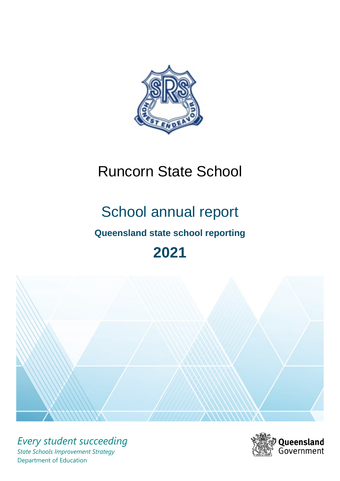

# Runcorn State School

# School annual report

# **Queensland state school reporting**

# **2021**



*Every student succeeding State Schools Improvement Strategy* Department of Education

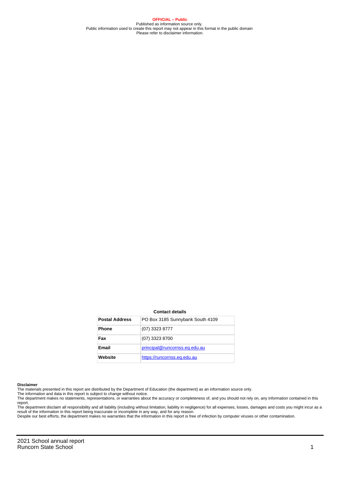**OFFICIAL – Public** Published as information source only. Public information used to create this report may not appear in this format in the public domain Please refer to disclaimer information.

#### **Contact details**

| <b>Postal Address</b> | PO Box 3185 Sunnybank South 4109 |
|-----------------------|----------------------------------|
| <b>Phone</b>          | (07) 3323 8777                   |
| Fax                   | (07) 3323 8700                   |
| Email                 | principal@runcornss.eq.edu.au    |
| Website               | https://runcornss.eq.edu.au      |

#### **Disclaimer**

The materials presented in this report are distributed by the Department of Education (the department) as an information source only.

The information and data in this report is subject to change without notice.<br>The department makes no statements, representations, or warranties about the accuracy or completeness of, and you should not rely on, any informa report.

The department disclaim all responsibility and all liability (including without limitation, liability in negligence) for all expenses, losses, damages and costs you might incur as a result of the information in this report being inaccurate or incomplete in any way, and for any reason.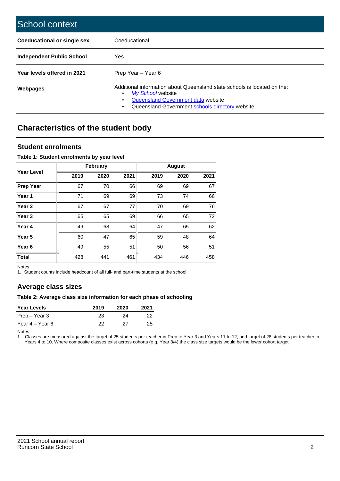| School context                   |                                                                                                                                                                                              |
|----------------------------------|----------------------------------------------------------------------------------------------------------------------------------------------------------------------------------------------|
| Coeducational or single sex      | Coeducational                                                                                                                                                                                |
| <b>Independent Public School</b> | <b>Yes</b>                                                                                                                                                                                   |
| Year levels offered in 2021      | Prep Year - Year 6                                                                                                                                                                           |
| Webpages                         | Additional information about Queensland state schools is located on the:<br>My School website<br>Queensland Government data website<br>Queensland Government schools directory website.<br>٠ |

# **Characteristics of the student body**

### **Student enrolments**

#### **Table 1: Student enrolments by year level**

|                   |      | <b>February</b> |      |      | <b>August</b> |      |
|-------------------|------|-----------------|------|------|---------------|------|
| <b>Year Level</b> | 2019 | 2020            | 2021 | 2019 | 2020          | 2021 |
| <b>Prep Year</b>  | 67   | 70              | 66   | 69   | 69            | 67   |
| Year 1            | 71   | 69              | 69   | 73   | 74            | 66   |
| Year 2            | 67   | 67              | 77   | 70   | 69            | 76   |
| Year <sub>3</sub> | 65   | 65              | 69   | 66   | 65            | 72   |
| Year 4            | 49   | 68              | 64   | 47   | 65            | 62   |
| Year <sub>5</sub> | 60   | 47              | 65   | 59   | 48            | 64   |
| Year <sub>6</sub> | 49   | 55              | 51   | 50   | 56            | 51   |
| <b>Total</b>      | 428  | 441             | 461  | 434  | 446           | 458  |

Notes

1. Student counts include headcount of all full- and part-time students at the school.

## **Average class sizes**

#### **Table 2: Average class size information for each phase of schooling**

| <b>Year Levels</b> | 2019 | 2020 | 2021 |
|--------------------|------|------|------|
| Prep – Year 3      | 23   | 24   | 22   |
| Year 4 – Year 6    | つつ   | 27   | 25   |

Notes

1. Classes are measured against the target of 25 students per teacher in Prep to Year 3 and Years 11 to 12, and target of 28 students per teacher in Years 4 to 10. Where composite classes exist across cohorts (e.g. Year 3/4) the class size targets would be the lower cohort target.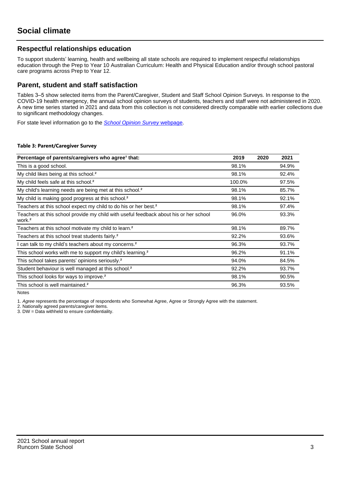## **Respectful relationships education**

To support students' learning, health and wellbeing all state schools are required to implement respectful relationships education through the Prep to Year 10 Australian Curriculum: Health and Physical Education and/or through school pastoral care programs across Prep to Year 12.

### **Parent, student and staff satisfaction**

Tables 3–5 show selected items from the Parent/Caregiver, Student and Staff School Opinion Surveys. In response to the COVID-19 health emergency, the annual school opinion surveys of students, teachers and staff were not administered in 2020. A new time series started in 2021 and data from this collection is not considered directly comparable with earlier collections due to significant methodology changes.

For state level information go to the **[School Opinion Survey](https://qed.qld.gov.au/publications/reports/statistics/schooling/schools/schoolopinionsurvey) webpage**.

#### **Table 3: Parent/Caregiver Survey**

| Percentage of parents/caregivers who agree <sup>1</sup> that:                                               | 2019   | 2020 | 2021  |
|-------------------------------------------------------------------------------------------------------------|--------|------|-------|
| This is a good school.                                                                                      | 98.1%  |      | 94.9% |
| My child likes being at this school. <sup>2</sup>                                                           | 98.1%  |      | 92.4% |
| My child feels safe at this school. <sup>2</sup>                                                            | 100.0% |      | 97.5% |
| My child's learning needs are being met at this school. <sup>2</sup>                                        | 98.1%  |      | 85.7% |
| My child is making good progress at this school. <sup>2</sup>                                               | 98.1%  |      | 92.1% |
| Teachers at this school expect my child to do his or her best. <sup>2</sup>                                 | 98.1%  |      | 97.4% |
| Teachers at this school provide my child with useful feedback about his or her school<br>work. <sup>2</sup> | 96.0%  |      | 93.3% |
| Teachers at this school motivate my child to learn. <sup>2</sup>                                            | 98.1%  |      | 89.7% |
| Teachers at this school treat students fairly. <sup>2</sup>                                                 | 92.2%  |      | 93.6% |
| I can talk to my child's teachers about my concerns. <sup>2</sup>                                           | 96.3%  |      | 93.7% |
| This school works with me to support my child's learning. <sup>2</sup>                                      | 96.2%  |      | 91.1% |
| This school takes parents' opinions seriously. <sup>2</sup>                                                 | 94.0%  |      | 84.5% |
| Student behaviour is well managed at this school. <sup>2</sup>                                              | 92.2%  |      | 93.7% |
| This school looks for ways to improve. <sup>2</sup>                                                         | 98.1%  |      | 90.5% |
| This school is well maintained. <sup>2</sup>                                                                | 96.3%  |      | 93.5% |

Notes

1. Agree represents the percentage of respondents who Somewhat Agree, Agree or Strongly Agree with the statement.

2. Nationally agreed parents/caregiver items.

3. DW = Data withheld to ensure confidentiality.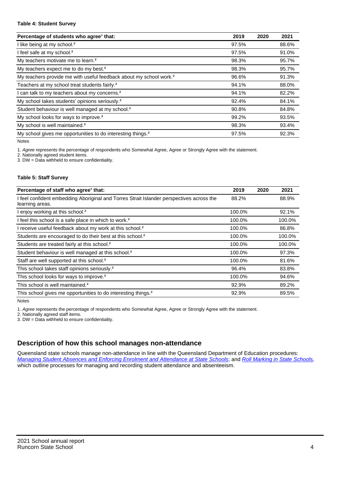#### **Table 4: Student Survey**

| Percentage of students who agree <sup>1</sup> that:                            | 2019  | 2020 | 2021  |
|--------------------------------------------------------------------------------|-------|------|-------|
| I like being at my school. <sup>2</sup>                                        | 97.5% |      | 88.6% |
| I feel safe at my school. <sup>2</sup>                                         | 97.5% |      | 91.0% |
| My teachers motivate me to learn. <sup>2</sup>                                 | 98.3% |      | 95.7% |
| My teachers expect me to do my best. <sup>2</sup>                              | 98.3% |      | 95.7% |
| My teachers provide me with useful feedback about my school work. <sup>2</sup> | 96.6% |      | 91.3% |
| Teachers at my school treat students fairly. <sup>2</sup>                      | 94.1% |      | 88.0% |
| can talk to my teachers about my concerns. <sup>2</sup>                        | 94.1% |      | 82.2% |
| My school takes students' opinions seriously. <sup>2</sup>                     | 92.4% |      | 84.1% |
| Student behaviour is well managed at my school. <sup>2</sup>                   | 90.8% |      | 84.8% |
| My school looks for ways to improve. <sup>2</sup>                              | 99.2% |      | 93.5% |
| My school is well maintained. <sup>2</sup>                                     | 98.3% |      | 93.4% |
| My school gives me opportunities to do interesting things. <sup>2</sup>        | 97.5% |      | 92.3% |

Notes

1. Agree represents the percentage of respondents who Somewhat Agree, Agree or Strongly Agree with the statement.

2. Nationally agreed student items.

3. DW = Data withheld to ensure confidentiality.

#### **Table 5: Staff Survey**

| Percentage of staff who agree <sup>1</sup> that:                                                            | 2019   | 2020 | 2021   |
|-------------------------------------------------------------------------------------------------------------|--------|------|--------|
| I feel confident embedding Aboriginal and Torres Strait Islander perspectives across the<br>learning areas. | 88.2%  |      | 88.9%  |
| I enjoy working at this school. <sup>2</sup>                                                                | 100.0% |      | 92.1%  |
| I feel this school is a safe place in which to work. <sup>2</sup>                                           | 100.0% |      | 100.0% |
| I receive useful feedback about my work at this school. <sup>2</sup>                                        | 100.0% |      | 86.8%  |
| Students are encouraged to do their best at this school. <sup>2</sup>                                       | 100.0% |      | 100.0% |
| Students are treated fairly at this school. <sup>2</sup>                                                    | 100.0% |      | 100.0% |
| Student behaviour is well managed at this school. <sup>2</sup>                                              | 100.0% |      | 97.3%  |
| Staff are well supported at this school. <sup>2</sup>                                                       | 100.0% |      | 81.6%  |
| This school takes staff opinions seriously. <sup>2</sup>                                                    | 96.4%  |      | 83.8%  |
| This school looks for ways to improve. <sup>2</sup>                                                         | 100.0% |      | 94.6%  |
| This school is well maintained. <sup>2</sup>                                                                | 92.9%  |      | 89.2%  |
| This school gives me opportunities to do interesting things. <sup>2</sup>                                   | 92.9%  |      | 89.5%  |

Notes

1. Agree represents the percentage of respondents who Somewhat Agree, Agree or Strongly Agree with the statement.

2. Nationally agreed staff items.

3. DW = Data withheld to ensure confidentiality.

## **Description of how this school manages non-attendance**

Queensland state schools manage non-attendance in line with the Queensland Department of Education procedures: [Managing Student Absences and Enforcing Enrolment and Attendance at State Schools](https://ppr.qed.qld.gov.au/pp/managing-student-absences-and-enforcing-enrolment-and-attendance-at-state-schools-procedure); and [Roll Marking in State Schools,](https://ppr.qed.qld.gov.au/pp/roll-marking-in-state-schools-procedure) which outline processes for managing and recording student attendance and absenteeism.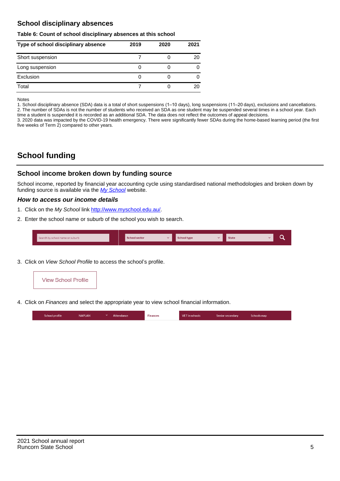## **School disciplinary absences**

#### **Table 6: Count of school disciplinary absences at this school**

| Type of school disciplinary absence | 2019 | 2020 | 2021 |
|-------------------------------------|------|------|------|
| Short suspension                    |      |      | 20   |
| Long suspension                     | U    |      |      |
| Exclusion                           |      |      |      |
| Total                               |      |      | 20   |

Notes

1. School disciplinary absence (SDA) data is a total of short suspensions (1–10 days), long suspensions (11–20 days), exclusions and cancellations. 2. The number of SDAs is not the number of students who received an SDA as one student may be suspended several times in a school year. Each time a student is suspended it is recorded as an additional SDA. The data does not reflect the outcomes of appeal decisions.

3. 2020 data was impacted by the COVID-19 health emergency. There were significantly fewer SDAs during the home-based learning period (the first five weeks of Term 2) compared to other years.

# **School funding**

## **School income broken down by funding source**

School income, reported by financial year accounting cycle using standardised national methodologies and broken down by funding source is available via the  $My$  School website.

#### **How to access our income details**

- 1. Click on the My School link <http://www.myschool.edu.au/>.
- 2. Enter the school name or suburb of the school you wish to search.

|  | Search by school name or suburb |  | <b>School sector</b> |  | $\sim$ and $\sim$ represents the set of $\sim$ | <b>State</b> |  |  |  |
|--|---------------------------------|--|----------------------|--|------------------------------------------------|--------------|--|--|--|
|--|---------------------------------|--|----------------------|--|------------------------------------------------|--------------|--|--|--|

3. Click on View School Profile to access the school's profile.



4. Click on Finances and select the appropriate year to view school financial information.

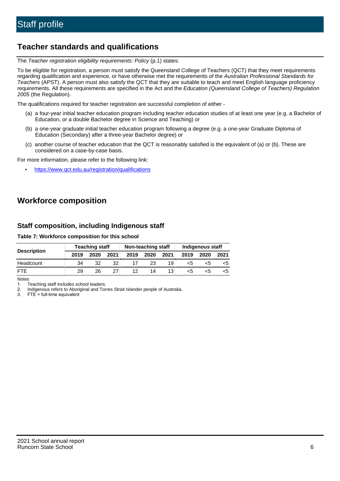# **Teacher standards and qualifications**

The Teacher registration eligibility requirements: Policy (p.1) states:

To be eligible for registration, a person must satisfy the Queensland College of Teachers (QCT) that they meet requirements regarding qualification and experience, or have otherwise met the requirements of the Australian Professional Standards for Teachers (APST). A person must also satisfy the QCT that they are suitable to teach and meet English language proficiency requirements. All these requirements are specified in the Act and the Education (Queensland College of Teachers) Regulation 2005 (the Regulation).

The qualifications required for teacher registration are successful completion of either -

- (a) a four-year initial teacher education program including teacher education studies of at least one year (e.g. a Bachelor of Education, or a double Bachelor degree in Science and Teaching) or
- (b) a one-year graduate initial teacher education program following a degree (e.g. a one-year Graduate Diploma of Education (Secondary) after a three-year Bachelor degree) or
- (c) another course of teacher education that the QCT is reasonably satisfied is the equivalent of (a) or (b). These are considered on a case-by-case basis.

For more information, please refer to the following link:

• <https://www.qct.edu.au/registration/qualifications>

# **Workforce composition**

## **Staff composition, including Indigenous staff**

#### **Table 7: Workforce composition for this school**

|                    |      | <b>Teaching staff</b> |      |      | Non-teaching staff |      |      | Indigenous staff |      |
|--------------------|------|-----------------------|------|------|--------------------|------|------|------------------|------|
| <b>Description</b> | 2019 | 2020                  | 2021 | 2019 | 2020               | 2021 | 2019 | 2020             | 2021 |
| Headcount          | 34   | 32                    | 32   |      | 23                 | 19   | <5   | <5               |      |
| <b>FTF</b>         | 29   | 26                    | 27   | 12   | 14                 | 13   | <5   | ה>               |      |

Notes

1. Teaching staff includes school leaders.

2. Indigenous refers to Aboriginal and Torres Strait Islander people of Australia.

3. FTE = full-time equivalent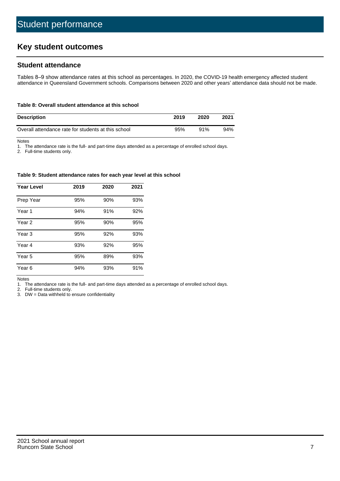# **Key student outcomes**

## **Student attendance**

Tables 8–9 show attendance rates at this school as percentages. In 2020, the COVID-19 health emergency affected student attendance in Queensland Government schools. Comparisons between 2020 and other years' attendance data should not be made.

#### **Table 8: Overall student attendance at this school**

| <b>Description</b>                                  | 2019 | 2020 | 2021 |
|-----------------------------------------------------|------|------|------|
| Overall attendance rate for students at this school | 95%  | 91%  | 94%  |

Notes

1. The attendance rate is the full- and part-time days attended as a percentage of enrolled school days.

2. Full-time students only.

#### **Table 9: Student attendance rates for each year level at this school**

| <b>Year Level</b> | 2019 | 2020 | 2021 |
|-------------------|------|------|------|
| Prep Year         | 95%  | 90%  | 93%  |
| Year <sub>1</sub> | 94%  | 91%  | 92%  |
| Year 2            | 95%  | 90%  | 95%  |
| Year 3            | 95%  | 92%  | 93%  |
| Year 4            | 93%  | 92%  | 95%  |
| Year 5            | 95%  | 89%  | 93%  |
| Year <sub>6</sub> | 94%  | 93%  | 91%  |

Notes

1. The attendance rate is the full- and part-time days attended as a percentage of enrolled school days.

2. Full-time students only.

3. DW = Data withheld to ensure confidentiality